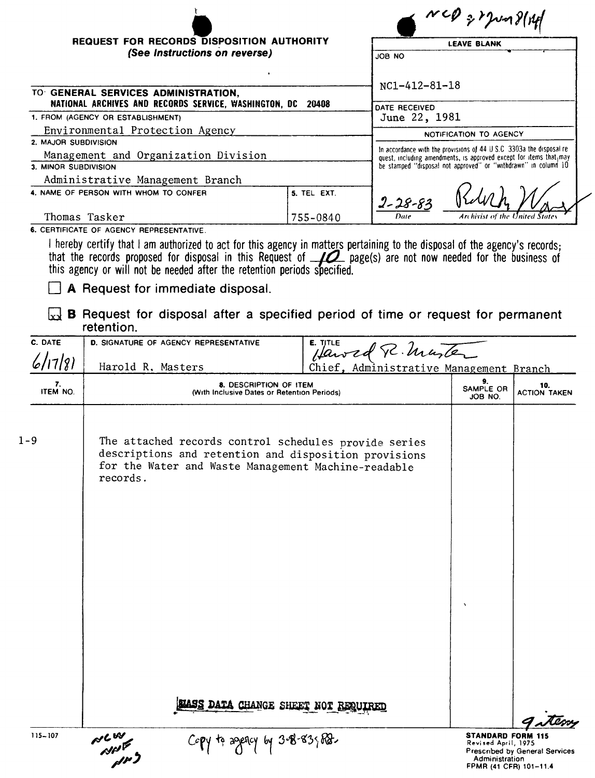|                                                             |             | $3120 - 3141$                                                                                                                              |
|-------------------------------------------------------------|-------------|--------------------------------------------------------------------------------------------------------------------------------------------|
| <b>REQUEST FOR RECORDS DISPOSITION AUTHORITY</b>            |             | <b>LEAVE BLANK</b>                                                                                                                         |
| (See Instructions on reverse)                               |             | JOB NO                                                                                                                                     |
| TO GENERAL SERVICES ADMINISTRATION.                         |             | NC1-412-81-18                                                                                                                              |
| NATIONAL ARCHIVES AND RECORDS SERVICE, WASHINGTON, DC 20408 |             | DATE RECEIVED                                                                                                                              |
| 1. FROM (AGENCY OR ESTABLISHMENT)                           |             | June 22, 1981                                                                                                                              |
| Environmental Protection Agency                             |             | NOTIFICATION TO AGENCY                                                                                                                     |
| 2. MAJOR SUBDIVISION                                        |             |                                                                                                                                            |
| Management and Organization Division                        |             | In accordance with the provisions of 44 U S.C 3303a the disposal re-<br>quest, including amendments, is approved except for items that may |
| 3. MINOR SUBDIVISION                                        |             | be stamped "disposal not approved" or "withdrawn" in column 10                                                                             |
| Administrative Management Branch                            |             |                                                                                                                                            |
| 4. NAME OF PERSON WITH WHOM TO CONFER                       | 5. TEL EXT. | $2 - 28 - 83$                                                                                                                              |
| Thomas Tasker                                               | 755-0840    | Archivist of the United States<br>Date                                                                                                     |

6. CERTIFICATE OF AGENCY REPRESENTATIVE.

I hereby certify that I am authorized to act for this agency in matters pertaining to the disposal of the agency's records;<br>that the records proposed for disposal in this Request of  $\Box$  page(s) are not now needed for the

A Request for immediate disposal.

x B Request for disposal after a specified period of time or request for permanent retention

|                | ,,,,,,,,,,,,                                                                                                                                                                      |                                         |                                                                                                          |
|----------------|-----------------------------------------------------------------------------------------------------------------------------------------------------------------------------------|-----------------------------------------|----------------------------------------------------------------------------------------------------------|
| C. DATE        | <b>D. SIGNATURE OF AGENCY REPRESENTATIVE</b>                                                                                                                                      | E. TITLE<br>Hawed R. Marter             |                                                                                                          |
| 6/17/81        | Harold R. Masters                                                                                                                                                                 | Chief, Administrative Management Branch |                                                                                                          |
| 7.<br>ITEM NO. | 8. DESCRIPTION OF ITEM<br>(With Inclusive Dates or Retention Periods)                                                                                                             |                                         | 9.<br>10.<br>SAMPLE OR<br><b>ACTION TAKEN</b><br>JOB NO.                                                 |
| $1 - 9$        | The attached records control schedules provide series<br>descriptions and retention and disposition provisions<br>for the Water and Waste Management Machine-readable<br>records. |                                         | $\lambda$                                                                                                |
| $115 - 107$    | SIASS DATA CHANGE SHEET NOT REQUIRED                                                                                                                                              |                                         | <b>STANDARD FORM 115</b>                                                                                 |
|                | <b>PLW</b><br>APP<br>APP<br>to agency                                                                                                                                             | $3 - 8 - 83$ $68$                       | Revised April, 1975<br><b>Prescribed by General Services</b><br>Administration<br>FPMR (41 CFR) 101-11.4 |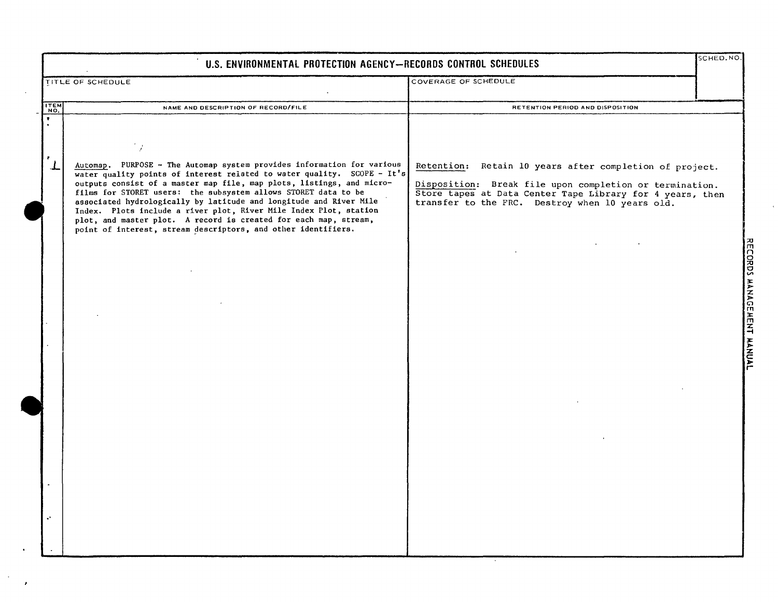|                    | U.S. ENVIRONMENTAL PROTECTION AGENCY-RECORDS CONTROL SCHEDULES                                                                                                                                                                                                                                                                                                                                                                                                                                                                                                               |                                                                                                                                                                                                                                    | SCHED.NO |
|--------------------|------------------------------------------------------------------------------------------------------------------------------------------------------------------------------------------------------------------------------------------------------------------------------------------------------------------------------------------------------------------------------------------------------------------------------------------------------------------------------------------------------------------------------------------------------------------------------|------------------------------------------------------------------------------------------------------------------------------------------------------------------------------------------------------------------------------------|----------|
|                    | TITLE OF SCHEDULE                                                                                                                                                                                                                                                                                                                                                                                                                                                                                                                                                            | COVERAGE OF SCHEDULE                                                                                                                                                                                                               |          |
| $\frac{1}{10}$     | NAME AND DESCRIPTION OF RECORD/FILE                                                                                                                                                                                                                                                                                                                                                                                                                                                                                                                                          | RETENTION PERIOD AND DISPOSITION                                                                                                                                                                                                   |          |
| $\pmb{\mathrm{v}}$ |                                                                                                                                                                                                                                                                                                                                                                                                                                                                                                                                                                              |                                                                                                                                                                                                                                    |          |
| ₹.<br>$\tau$       | Automap. PURPOSE - The Automap system provides information for various<br>water quality points of interest related to water quality. SCOPE - It's<br>outputs consist of a master map file, map plots, listings, and micro-<br>films for STORET users: the subsystem allows STORET data to be<br>associated hydrologically by latitude and longitude and River Mile<br>Index. Plots include a river plot, River Mile Index Plot, station<br>plot, and master plot. A record is created for each map, stream,<br>point of interest, stream descriptors, and other identifiers. | Retention: Retain 10 years after completion of project.<br>Disposition: Break file upon completion or termination.<br>Store tapes at Data Center Tape Library for 4 years, then<br>transfer to the FRC. Destroy when 10 years old. |          |
|                    |                                                                                                                                                                                                                                                                                                                                                                                                                                                                                                                                                                              |                                                                                                                                                                                                                                    |          |
|                    |                                                                                                                                                                                                                                                                                                                                                                                                                                                                                                                                                                              |                                                                                                                                                                                                                                    |          |
|                    |                                                                                                                                                                                                                                                                                                                                                                                                                                                                                                                                                                              |                                                                                                                                                                                                                                    |          |
|                    |                                                                                                                                                                                                                                                                                                                                                                                                                                                                                                                                                                              |                                                                                                                                                                                                                                    |          |
|                    |                                                                                                                                                                                                                                                                                                                                                                                                                                                                                                                                                                              |                                                                                                                                                                                                                                    |          |
|                    |                                                                                                                                                                                                                                                                                                                                                                                                                                                                                                                                                                              |                                                                                                                                                                                                                                    |          |

 $\langle \cdot \rangle$  $\pmb{r}$   $\mathbf{v}$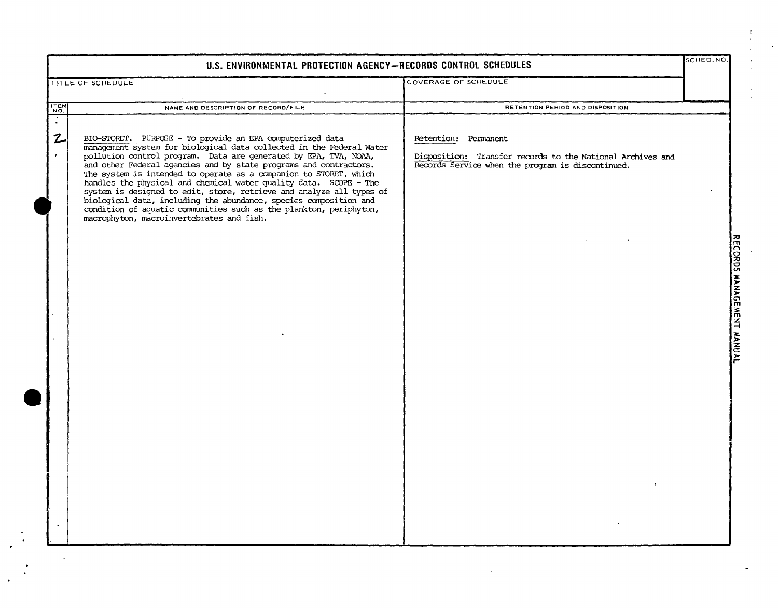| COVERAGE OF SCHEDULE<br>TITLE OF SCHEDULE<br>ITEM<br>NO.<br>NAME AND DESCRIPTION OF RECORD/FILE<br>RETENTION PERIOD AND DISPOSITION<br>$\overline{\cdot}$<br>$\mathbf{z}$<br>BIO-STORET. PURPOSE - To provide an EPA computerized data<br>Retention: Permanent<br>management system for biological data collected in the Federal Water<br>pollution control program. Data are generated by EPA, TVA, NOAA,<br>$\bullet$<br>Disposition: Transfer records to the National Archives and<br>and other Federal agencies and by state programs and contractors.<br>Records Service when the program is discontinued.<br>The system is intended to operate as a companion to STORET, which<br>handles the physical and chemical water quality data. SOOPE - The<br>system is designed to edit, store, retrieve and analyze all types of<br>biological data, including the abundance, species composition and<br>condition of aquatic communities such as the plankton, periphyton,<br>macrophyton, macroinvertebrates and fish. | U.S. ENVIRONMENTAL PROTECTION AGENCY-RECORDS CONTROL SCHEDULES | SCHED, NO. |                           |
|---------------------------------------------------------------------------------------------------------------------------------------------------------------------------------------------------------------------------------------------------------------------------------------------------------------------------------------------------------------------------------------------------------------------------------------------------------------------------------------------------------------------------------------------------------------------------------------------------------------------------------------------------------------------------------------------------------------------------------------------------------------------------------------------------------------------------------------------------------------------------------------------------------------------------------------------------------------------------------------------------------------------------|----------------------------------------------------------------|------------|---------------------------|
|                                                                                                                                                                                                                                                                                                                                                                                                                                                                                                                                                                                                                                                                                                                                                                                                                                                                                                                                                                                                                           |                                                                |            |                           |
|                                                                                                                                                                                                                                                                                                                                                                                                                                                                                                                                                                                                                                                                                                                                                                                                                                                                                                                                                                                                                           |                                                                |            |                           |
| $\mathbf{L}$                                                                                                                                                                                                                                                                                                                                                                                                                                                                                                                                                                                                                                                                                                                                                                                                                                                                                                                                                                                                              |                                                                |            | RECORDS MANAGEMENT MANUAL |

 $\mathcal{X}$ 

 $\epsilon$  $\frac{1}{4}$  .  $\sim$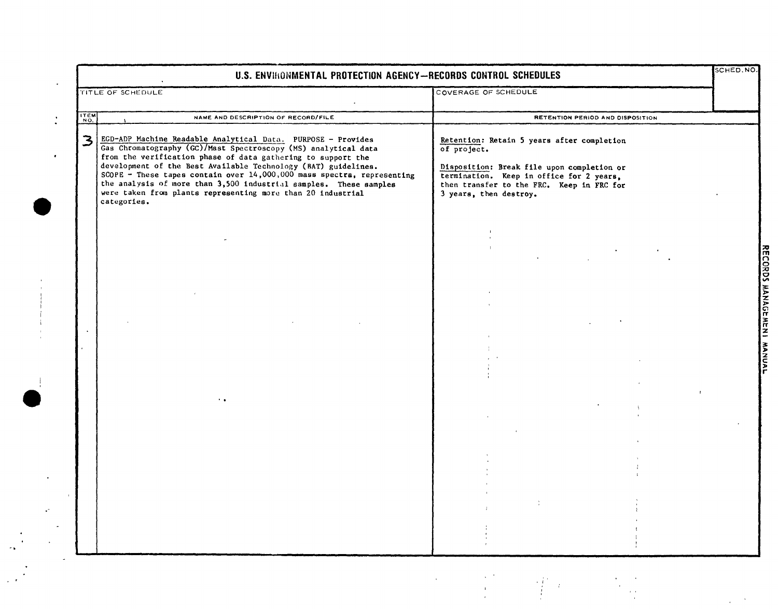|      | U.S. ENVIRONMENTAL PROTECTION AGENCY-RECORDS CONTROL SCHEDULES                                                                                                                                                                                                                                                                                                                                                                                                                                |                                                                                                                                                                                                                            | SCHED.NO. |
|------|-----------------------------------------------------------------------------------------------------------------------------------------------------------------------------------------------------------------------------------------------------------------------------------------------------------------------------------------------------------------------------------------------------------------------------------------------------------------------------------------------|----------------------------------------------------------------------------------------------------------------------------------------------------------------------------------------------------------------------------|-----------|
|      | TITLE OF SCHEDULE                                                                                                                                                                                                                                                                                                                                                                                                                                                                             | COVERAGE OF SCHEDULE                                                                                                                                                                                                       |           |
| ITEM | NAME AND DESCRIPTION OF RECORD/FILE                                                                                                                                                                                                                                                                                                                                                                                                                                                           | RETENTION PERIOD AND DISPOSITION                                                                                                                                                                                           |           |
| 3    | EGD-ADP Machine Readable Analytical Data. PURPOSE - Provides<br>Gas Chromatography (GC)/Mast Spectroscopy (MS) analytical data<br>from the verification phase of data gathering to support the<br>development of the Best Available Technology (BAT) guidelines.<br>SCOPE - These tapes contain over 14,000,000 mass spectra, representing<br>the analysis of more than 3,500 industrial samples. These samples<br>were taken from plants representing more than 20 industrial<br>categories. | Retention: Retain 5 years after completion<br>of project.<br>Disposition: Break file upon completion or<br>termination. Keep in office for 2 years,<br>then transfer to the FRC. Keep in FRC for<br>3 years, then destroy. |           |
|      |                                                                                                                                                                                                                                                                                                                                                                                                                                                                                               |                                                                                                                                                                                                                            |           |
|      |                                                                                                                                                                                                                                                                                                                                                                                                                                                                                               |                                                                                                                                                                                                                            |           |
|      |                                                                                                                                                                                                                                                                                                                                                                                                                                                                                               |                                                                                                                                                                                                                            |           |
|      |                                                                                                                                                                                                                                                                                                                                                                                                                                                                                               |                                                                                                                                                                                                                            |           |
|      |                                                                                                                                                                                                                                                                                                                                                                                                                                                                                               |                                                                                                                                                                                                                            |           |
|      |                                                                                                                                                                                                                                                                                                                                                                                                                                                                                               |                                                                                                                                                                                                                            |           |
|      |                                                                                                                                                                                                                                                                                                                                                                                                                                                                                               |                                                                                                                                                                                                                            |           |
|      |                                                                                                                                                                                                                                                                                                                                                                                                                                                                                               |                                                                                                                                                                                                                            |           |
|      |                                                                                                                                                                                                                                                                                                                                                                                                                                                                                               |                                                                                                                                                                                                                            |           |
|      |                                                                                                                                                                                                                                                                                                                                                                                                                                                                                               |                                                                                                                                                                                                                            |           |
|      |                                                                                                                                                                                                                                                                                                                                                                                                                                                                                               |                                                                                                                                                                                                                            |           |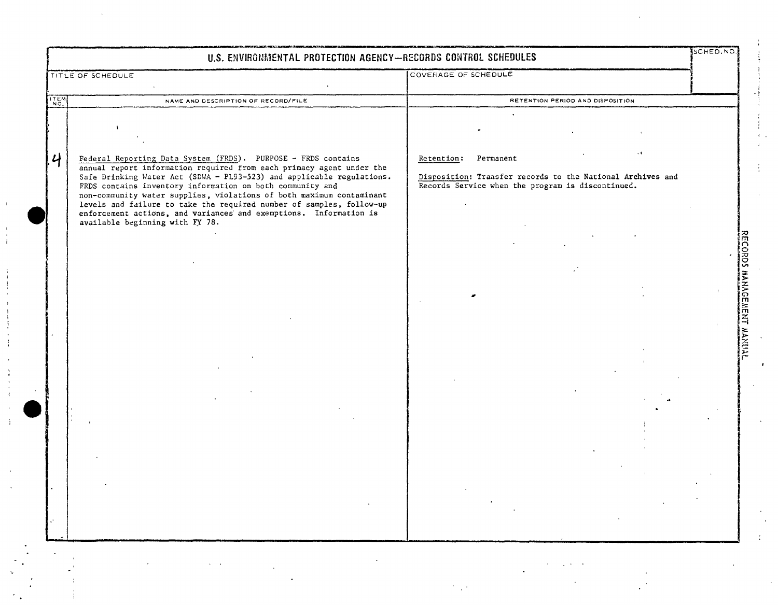|               | U.S. ENVIRONMENTAL PROTECTION AGENCY-RECORDS CONTROL SCHEDULES                                                                                                                                                                                                                                                                                                                                                                  |                                                                                                                 |                           |
|---------------|---------------------------------------------------------------------------------------------------------------------------------------------------------------------------------------------------------------------------------------------------------------------------------------------------------------------------------------------------------------------------------------------------------------------------------|-----------------------------------------------------------------------------------------------------------------|---------------------------|
|               | TITLE OF SCHEDULE                                                                                                                                                                                                                                                                                                                                                                                                               | COVERAGE OF SCHEDULE                                                                                            |                           |
| ITEM          | NAME AND DESCRIPTION OF RECORD/FILE                                                                                                                                                                                                                                                                                                                                                                                             | RETENTION PERIOD AND DISPOSITION                                                                                |                           |
|               |                                                                                                                                                                                                                                                                                                                                                                                                                                 |                                                                                                                 |                           |
|               |                                                                                                                                                                                                                                                                                                                                                                                                                                 |                                                                                                                 |                           |
| $\mathcal{U}$ | Federal Reporting Data System (FRDS). PURPOSE - FRDS contains                                                                                                                                                                                                                                                                                                                                                                   | Retention: Permanent                                                                                            |                           |
|               | annual report information required from each primacy agent under the<br>Safe Drinking Water Act (SDWA - PL93-523) and applicable regulations.<br>FRDS contains inventory information on both community and<br>non-community water supplies, violations of both maximum contaminant<br>levels and failure to take the required number of samples, follow-up<br>enforcement actions, and variances and exemptions. Information is | Disposition: Transfer records to the National Archives and<br>Records Service when the program is discontinued. |                           |
|               | available beginning with FY 78.                                                                                                                                                                                                                                                                                                                                                                                                 |                                                                                                                 |                           |
|               |                                                                                                                                                                                                                                                                                                                                                                                                                                 |                                                                                                                 |                           |
|               |                                                                                                                                                                                                                                                                                                                                                                                                                                 |                                                                                                                 |                           |
|               |                                                                                                                                                                                                                                                                                                                                                                                                                                 |                                                                                                                 | RECORDS MANAGEMENT MANUAL |
|               |                                                                                                                                                                                                                                                                                                                                                                                                                                 |                                                                                                                 |                           |
|               |                                                                                                                                                                                                                                                                                                                                                                                                                                 |                                                                                                                 |                           |
|               |                                                                                                                                                                                                                                                                                                                                                                                                                                 |                                                                                                                 |                           |
|               |                                                                                                                                                                                                                                                                                                                                                                                                                                 |                                                                                                                 |                           |
|               |                                                                                                                                                                                                                                                                                                                                                                                                                                 |                                                                                                                 |                           |
|               |                                                                                                                                                                                                                                                                                                                                                                                                                                 |                                                                                                                 |                           |
|               |                                                                                                                                                                                                                                                                                                                                                                                                                                 |                                                                                                                 |                           |
|               |                                                                                                                                                                                                                                                                                                                                                                                                                                 |                                                                                                                 |                           |
|               |                                                                                                                                                                                                                                                                                                                                                                                                                                 |                                                                                                                 |                           |
|               |                                                                                                                                                                                                                                                                                                                                                                                                                                 |                                                                                                                 |                           |
|               |                                                                                                                                                                                                                                                                                                                                                                                                                                 |                                                                                                                 |                           |
|               |                                                                                                                                                                                                                                                                                                                                                                                                                                 |                                                                                                                 |                           |
|               |                                                                                                                                                                                                                                                                                                                                                                                                                                 |                                                                                                                 |                           |
|               |                                                                                                                                                                                                                                                                                                                                                                                                                                 |                                                                                                                 |                           |
|               |                                                                                                                                                                                                                                                                                                                                                                                                                                 |                                                                                                                 |                           |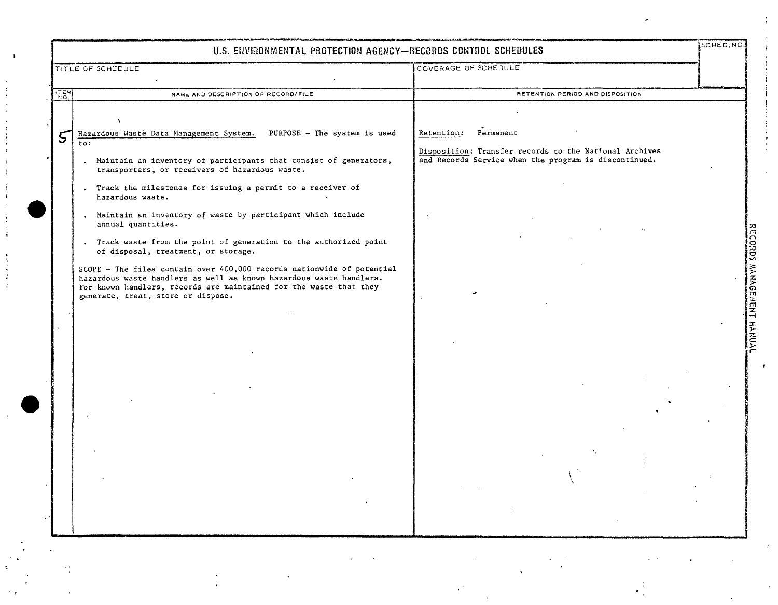|                | U.S. ENVIRONMENTAL PROTECTION AGENCY-RECORDS CONTROL SCHEDULES                                                                                                                                                                                                                                                                                                                                                                                                                                                                                                                                                                                                                                                                                            |                                                                                                                                         | SCHED.NO |
|----------------|-----------------------------------------------------------------------------------------------------------------------------------------------------------------------------------------------------------------------------------------------------------------------------------------------------------------------------------------------------------------------------------------------------------------------------------------------------------------------------------------------------------------------------------------------------------------------------------------------------------------------------------------------------------------------------------------------------------------------------------------------------------|-----------------------------------------------------------------------------------------------------------------------------------------|----------|
|                | TITLE OF SCHEDULE                                                                                                                                                                                                                                                                                                                                                                                                                                                                                                                                                                                                                                                                                                                                         | COVERAGE OF SCHEDULE                                                                                                                    |          |
|                |                                                                                                                                                                                                                                                                                                                                                                                                                                                                                                                                                                                                                                                                                                                                                           |                                                                                                                                         |          |
| $\frac{1}{20}$ | NAME AND DESCRIPTION OF RECORD/FILE                                                                                                                                                                                                                                                                                                                                                                                                                                                                                                                                                                                                                                                                                                                       | RETENTION PERIOD AND DISPOSITION                                                                                                        |          |
| 5              | Hazardous Waste Data Management System. PURPOSE - The system is used<br>to:<br>. Maintain an inventory of participants that consist of generators,<br>transporters, or receivers of hazardous waste.<br>. Track the milestones for issuing a permit to a receiver of<br>hazardous waste.<br>. Maintain an inventory of waste by participant which include<br>annual quantities.<br>. Track waste from the point of generation to the authorized point<br>of disposal, treatment, or storage.<br>SCOPE - The files contain over 400,000 records nationwide of potential<br>hazardous waste handlers as well as known hazardous waste handlers.<br>For known handlers, records are maintained for the waste that they<br>generate, treat, store or dispose. | Retention: Permanent<br>Disposition: Transfer records to the National Archives<br>and Records Service when the program is discontinued. |          |
|                |                                                                                                                                                                                                                                                                                                                                                                                                                                                                                                                                                                                                                                                                                                                                                           |                                                                                                                                         |          |

 $\sim 10^7$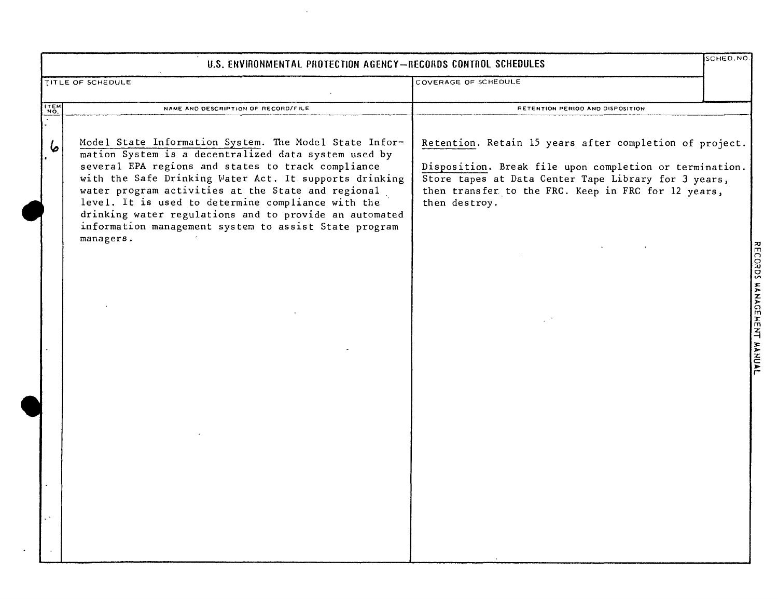|      | U.S. ENVIRONMENTAL PROTECTION AGENCY-RECORDS CONTROL SCHEDULES                                                                                                                                                                                                                                                                                                                                                                                                             |                                                                                                                                                                                                                                                    | SCHED. NO.                |
|------|----------------------------------------------------------------------------------------------------------------------------------------------------------------------------------------------------------------------------------------------------------------------------------------------------------------------------------------------------------------------------------------------------------------------------------------------------------------------------|----------------------------------------------------------------------------------------------------------------------------------------------------------------------------------------------------------------------------------------------------|---------------------------|
|      | TITLE OF SCHEDULE                                                                                                                                                                                                                                                                                                                                                                                                                                                          | COVERAGE OF SCHEDULE                                                                                                                                                                                                                               |                           |
| ITEM | NAME AND DESCRIPTION OF RECORD/FILE                                                                                                                                                                                                                                                                                                                                                                                                                                        | RETENTION PERIOD AND DISPOSITION                                                                                                                                                                                                                   |                           |
|      | Model State Information System. The Model State Infor-<br>mation System is a decentralized data system used by<br>several EPA regions and states to track compliance<br>with the Safe Drinking Water Act. It supports drinking<br>water program activities at the State and regional<br>level. It is used to determine compliance with the<br>drinking water regulations and to provide an automated<br>information management system to assist State program<br>managers. | Retention. Retain 15 years after completion of project.<br>Disposition. Break file upon completion or termination.<br>Store tapes at Data Center Tape Library for 3 years,<br>then transfer to the FRC. Keep in FRC for 12 years,<br>then destroy. | RECORDS MANAGEMENT MANUAL |

 $\sim$   $\sim$ 

 $\star$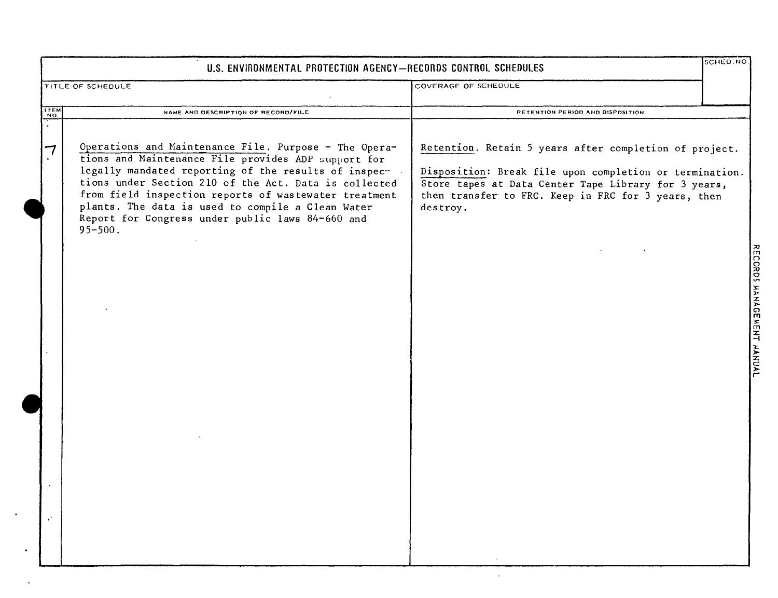|                | U.S. ENVIRONMENTAL PROTECTION AGENCY-RECORDS CONTROL SCHEDULES                                                                                                                                                                                                                                                                                                                                                 |                                                                                                                                                                                                                                              | SCHED. NO.                |
|----------------|----------------------------------------------------------------------------------------------------------------------------------------------------------------------------------------------------------------------------------------------------------------------------------------------------------------------------------------------------------------------------------------------------------------|----------------------------------------------------------------------------------------------------------------------------------------------------------------------------------------------------------------------------------------------|---------------------------|
|                | TITLE OF SCHEDULE                                                                                                                                                                                                                                                                                                                                                                                              | COVERAGE OF SCHEDULE                                                                                                                                                                                                                         |                           |
| $rac{1}{10}$   | NAME AND DESCRIPTION OF RECORD/FILE                                                                                                                                                                                                                                                                                                                                                                            | RETENTION PERIOD AND DISPOSITION                                                                                                                                                                                                             |                           |
|                | Operations and Maintenance File. Purpose - The Opera-<br>tions and Maintenance File provides ADP support for<br>legally mandated reporting of the results of inspec-<br>tions under Section 210 of the Act. Data is collected<br>from field inspection reports of wastewater treatment<br>plants. The data is used to compile a Clean Water<br>Report for Congress under public laws 84-660 and<br>$95 - 500.$ | Retention. Retain 5 years after completion of project.<br>Disposition: Break file upon completion or termination.<br>Store tapes at Data Center Tape Library for 3 years,<br>then transfer to FRC. Keep in FRC for 3 years, then<br>destroy. | RECORDS MANAGEMENT MANUAL |
| $\mathbf{v}^*$ |                                                                                                                                                                                                                                                                                                                                                                                                                |                                                                                                                                                                                                                                              |                           |

 $\bullet$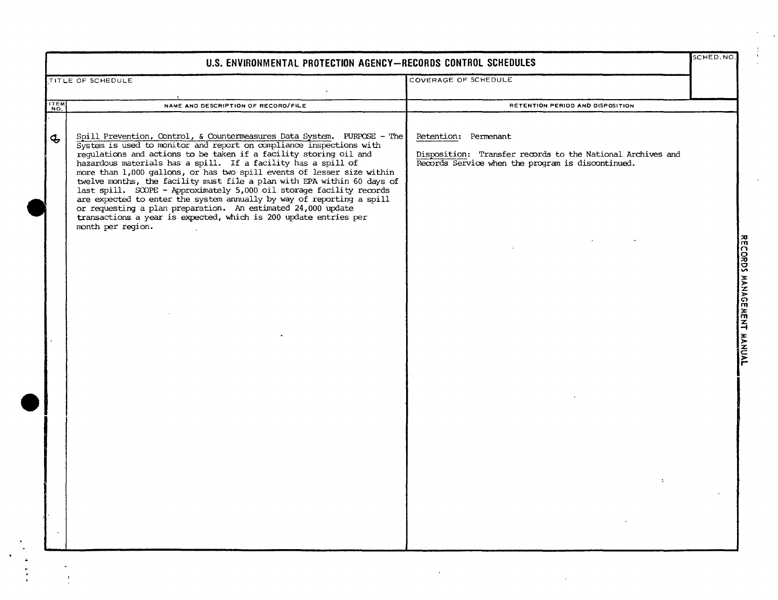|              | U.S. ENVIRONMENTAL PROTECTION AGENCY-RECORDS CONTROL SCHEDULES                                                                                                                                                                                                                                                                                                                                                                                                                                                                                                                                                                                                                                                                                      |                                                                                                                                         | SCHED.NO. |                           |
|--------------|-----------------------------------------------------------------------------------------------------------------------------------------------------------------------------------------------------------------------------------------------------------------------------------------------------------------------------------------------------------------------------------------------------------------------------------------------------------------------------------------------------------------------------------------------------------------------------------------------------------------------------------------------------------------------------------------------------------------------------------------------------|-----------------------------------------------------------------------------------------------------------------------------------------|-----------|---------------------------|
|              | <b>TITLE OF SCHEDULE</b>                                                                                                                                                                                                                                                                                                                                                                                                                                                                                                                                                                                                                                                                                                                            | COVERAGE OF SCHEDULE                                                                                                                    |           |                           |
| ITEM         | NAME AND DESCRIPTION OF RECORD/FILE                                                                                                                                                                                                                                                                                                                                                                                                                                                                                                                                                                                                                                                                                                                 | RETENTION PERIOD AND DISPOSITION                                                                                                        |           |                           |
| $\mathbf{z}$ | Spill Prevention, Control, & Countermeasures Data System. PURPOSE - The<br>System is used to monitor and report on compliance inspections with<br>regulations and actions to be taken if a facility storing oil and<br>hazardous materials has a spill. If a facility has a spill of<br>more than 1,000 gallons, or has two spill events of lesser size within<br>twelve months, the facility must file a plan with EPA within 60 days of<br>last spill. SOOPE - Approximately 5,000 oil storage facility records<br>are expected to enter the system annually by way of reporting a spill<br>or requesting a plan preparation. An estimated 24,000 update<br>transactions a year is expected, which is 200 update entries per<br>month per region. | Retention: Permenant<br>Disposition: Transfer records to the National Archives and<br>Records Service when the program is discontinued. |           | RECORDS MANAGEMENT MANUAL |

 $\begin{array}{c} 3 \\ 4 \\ 1 \end{array}$